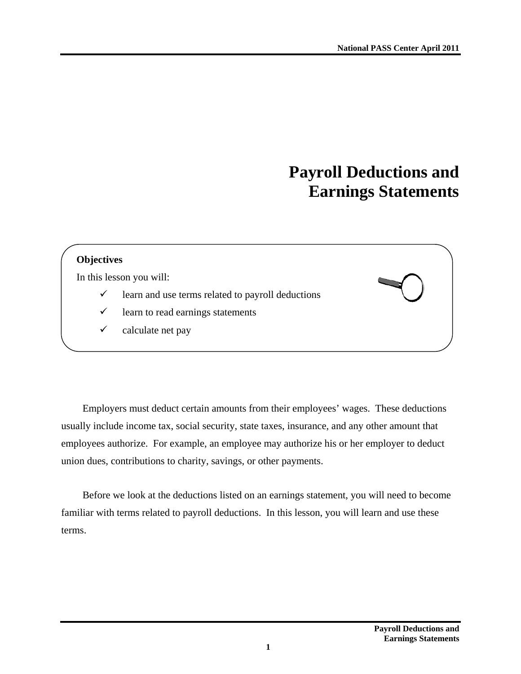# **Payroll Deductions and Earnings Statements**

#### **Objectives**

In this lesson you will:

- $\checkmark$  learn and use terms related to payroll deductions
- $\checkmark$  learn to read earnings statements
- $\checkmark$  calculate net pay

Employers must deduct certain amounts from their employees' wages. These deductions usually include income tax, social security, state taxes, insurance, and any other amount that employees authorize. For example, an employee may authorize his or her employer to deduct union dues, contributions to charity, savings, or other payments.

Before we look at the deductions listed on an earnings statement, you will need to become familiar with terms related to payroll deductions. In this lesson, you will learn and use these terms.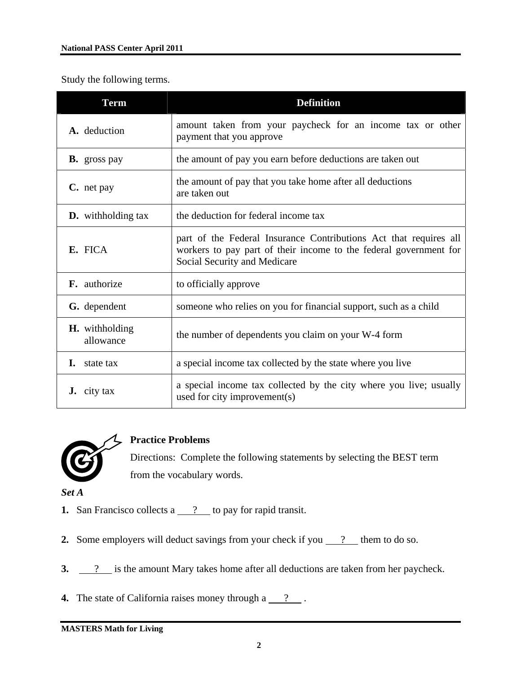Study the following terms.

| <b>Term</b>                        | <b>Definition</b>                                                                                                                                                      |
|------------------------------------|------------------------------------------------------------------------------------------------------------------------------------------------------------------------|
| A. deduction                       | amount taken from your paycheck for an income tax or other<br>payment that you approve                                                                                 |
| <b>B.</b> gross pay                | the amount of pay you earn before deductions are taken out                                                                                                             |
| C. net pay                         | the amount of pay that you take home after all deductions<br>are taken out                                                                                             |
| <b>D.</b> withholding tax          | the deduction for federal income tax                                                                                                                                   |
| E. FICA                            | part of the Federal Insurance Contributions Act that requires all<br>workers to pay part of their income to the federal government for<br>Social Security and Medicare |
| <b>F.</b> authorize                | to officially approve                                                                                                                                                  |
| G. dependent                       | someone who relies on you for financial support, such as a child                                                                                                       |
| <b>H.</b> withholding<br>allowance | the number of dependents you claim on your W-4 form                                                                                                                    |
| L.<br>state tax                    | a special income tax collected by the state where you live                                                                                                             |
| city tax<br>J.                     | a special income tax collected by the city where you live; usually<br>used for city improvement(s)                                                                     |



# **Practice Problems**

Directions: Complete the following statements by selecting the BEST term from the vocabulary words.

*Set A* 

- **1.** San Francisco collects a <u>?</u> to pay for rapid transit.
- **2.** Some employers will deduct savings from your check if you  $\frac{?}{?}$  them to do so.
- **3.** <u>2</u> is the amount Mary takes home after all deductions are taken from her paycheck.
- **4.** The state of California raises money through a  $\frac{?}{?}$ .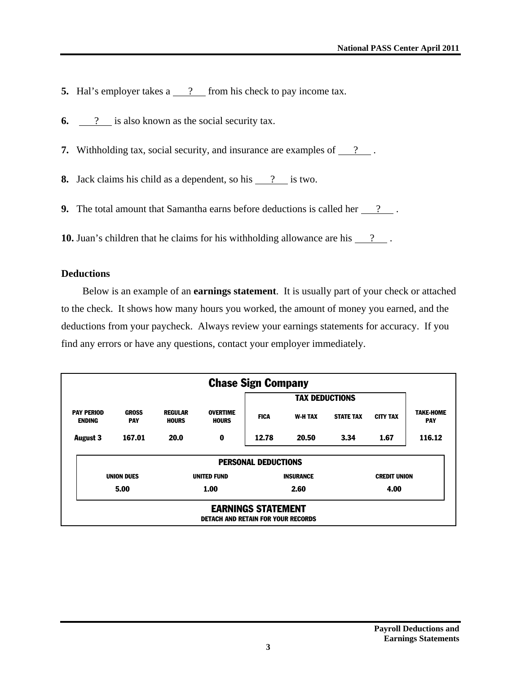- **5.** Hal's employer takes a <u>?</u> from his check to pay income tax.
- **6.** <u>2</u> is also known as the social security tax.
- **7.** Withholding tax, social security, and insurance are examples of  $\frac{?}{?}$ .

**8.** Jack claims his child as a dependent, so his <u>?</u> is two.

**9.** The total amount that Samantha earns before deductions is called her <u>2</u>.

**10.** Juan's children that he claims for his withholding allowance are his <u>2</u>.

#### **Deductions**

Below is an example of an **earnings statement**. It is usually part of your check or attached to the check. It shows how many hours you worked, the amount of money you earned, and the deductions from your paycheck. Always review your earnings statements for accuracy. If you find any errors or have any questions, contact your employer immediately.

|                                    |                            |                                |                                           | <b>Chase Sign Company</b>  |                  |                       |                     |                                |
|------------------------------------|----------------------------|--------------------------------|-------------------------------------------|----------------------------|------------------|-----------------------|---------------------|--------------------------------|
|                                    |                            |                                |                                           |                            |                  | <b>TAX DEDUCTIONS</b> |                     |                                |
| <b>PAY PERIOD</b><br><b>ENDING</b> | <b>GROSS</b><br><b>PAY</b> | <b>REGULAR</b><br><b>HOURS</b> | <b>OVERTIME</b><br><b>HOURS</b>           | <b>FICA</b>                | <b>W-H TAX</b>   | <b>STATE TAX</b>      | <b>CITY TAX</b>     | <b>TAKE-HOME</b><br><b>PAY</b> |
| <b>August 3</b>                    | 167.01                     | 20.0                           | 0                                         | 12.78                      | 20.50            | 3.34                  | 1.67                | 116.12                         |
|                                    |                            |                                |                                           | <b>PERSONAL DEDUCTIONS</b> |                  |                       |                     |                                |
|                                    | <b>UNION DUES</b>          |                                | <b>UNITED FUND</b>                        |                            | <b>INSURANCE</b> |                       | <b>CREDIT UNION</b> |                                |
|                                    | 5.00                       |                                | 1.00                                      |                            | 2.60             |                       | 4.00                |                                |
|                                    |                            |                                | <b>DETACH AND RETAIN FOR YOUR RECORDS</b> | <b>EARNINGS STATEMENT</b>  |                  |                       |                     |                                |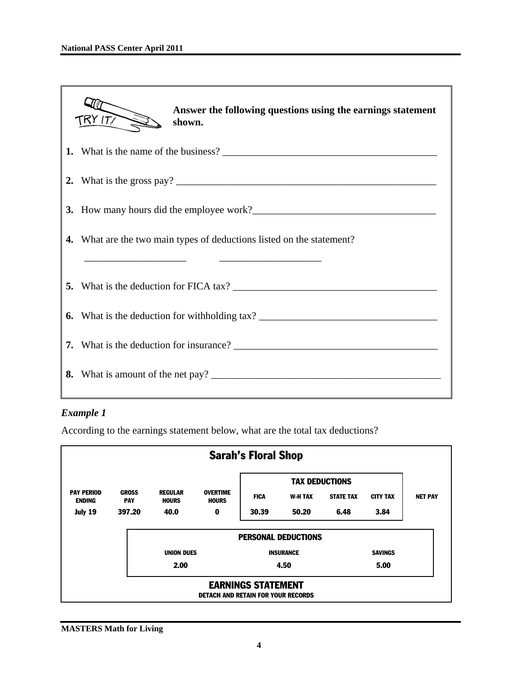| Answer the following questions using the earnings statement<br>TRY ITT<br>shown.                                                                                                                  |  |  |  |  |
|---------------------------------------------------------------------------------------------------------------------------------------------------------------------------------------------------|--|--|--|--|
|                                                                                                                                                                                                   |  |  |  |  |
|                                                                                                                                                                                                   |  |  |  |  |
|                                                                                                                                                                                                   |  |  |  |  |
| What are the two main types of deductions listed on the statement?<br>4.<br><u> 1989 - Johann Harry Harry Harry Harry Harry Harry Harry Harry Harry Harry Harry Harry Harry Harry Harry Harry</u> |  |  |  |  |
|                                                                                                                                                                                                   |  |  |  |  |
| 6. What is the deduction for withholding tax? ___________________________________                                                                                                                 |  |  |  |  |
|                                                                                                                                                                                                   |  |  |  |  |
| 8. What is amount of the net pay?                                                                                                                                                                 |  |  |  |  |
|                                                                                                                                                                                                   |  |  |  |  |

# *Example 1*

According to the earnings statement below, what are the total tax deductions?

|                                    |                            |                                |                                           | <b>Sarah's Floral Shop</b> |                            |                       |                 |                |
|------------------------------------|----------------------------|--------------------------------|-------------------------------------------|----------------------------|----------------------------|-----------------------|-----------------|----------------|
|                                    |                            |                                |                                           |                            |                            | <b>TAX DEDUCTIONS</b> |                 |                |
| <b>PAY PERIOD</b><br><b>ENDING</b> | <b>GROSS</b><br><b>PAY</b> | <b>REGULAR</b><br><b>HOURS</b> | <b>OVERTIME</b><br><b>HOURS</b>           | <b>FICA</b>                | <b>W-H TAX</b>             | <b>STATE TAX</b>      | <b>CITY TAX</b> | <b>NET PAY</b> |
| July 19                            | 397.20                     | 40.0                           | 0                                         | 30.39                      | 50.20                      | 6.48                  | 3.84            |                |
|                                    |                            |                                |                                           |                            | <b>PERSONAL DEDUCTIONS</b> |                       |                 |                |
|                                    |                            | <b>UNION DUES</b>              |                                           |                            | <b>INSURANCE</b>           |                       | <b>SAVINGS</b>  |                |
|                                    |                            | 2.00                           |                                           |                            | 4.50                       |                       | 5.00            |                |
|                                    |                            |                                | <b>DETACH AND RETAIN FOR YOUR RECORDS</b> | <b>EARNINGS STATEMENT</b>  |                            |                       |                 |                |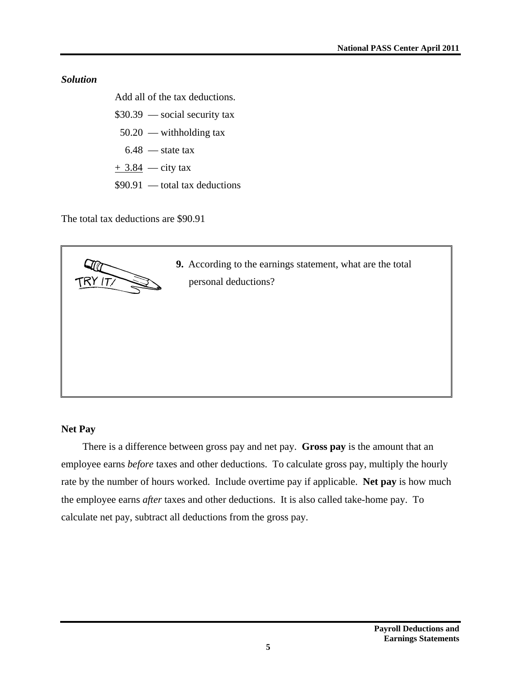#### *Solution*

Add all of the tax deductions.

- \$30.39 social security tax  $50.20$  — withholding tax
	- $6.48$  state tax
- $+$  3.84 city tax
- \$90.91 total tax deductions

The total tax deductions are \$90.91



# **Net Pay**

There is a difference between gross pay and net pay. **Gross pay** is the amount that an employee earns *before* taxes and other deductions. To calculate gross pay, multiply the hourly rate by the number of hours worked. Include overtime pay if applicable. **Net pay** is how much the employee earns *after* taxes and other deductions. It is also called take-home pay. To calculate net pay, subtract all deductions from the gross pay.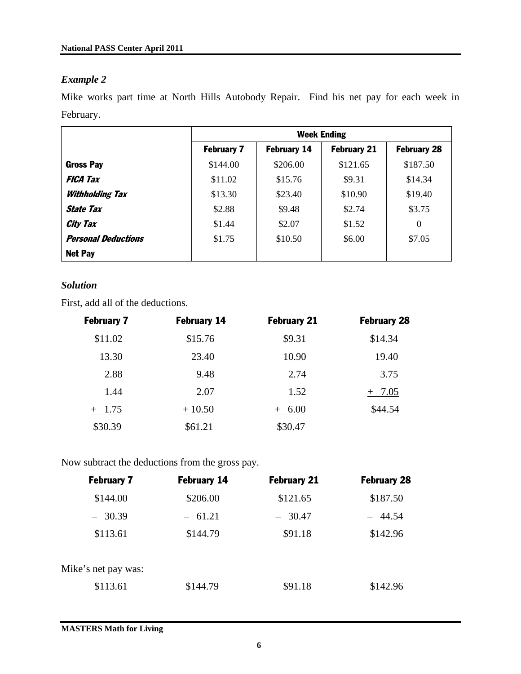## *Example 2*

Mike works part time at North Hills Autobody Repair. Find his net pay for each week in February.

|                            | <b>Week Ending</b> |                    |                    |                    |
|----------------------------|--------------------|--------------------|--------------------|--------------------|
|                            | <b>February 7</b>  | <b>February 14</b> | <b>February 21</b> | <b>February 28</b> |
| <b>Gross Pay</b>           | \$144.00           | \$206.00           | \$121.65           | \$187.50           |
| <b>FICA Tax</b>            | \$11.02            | \$15.76            | \$9.31             | \$14.34            |
| <b>Withholding Tax</b>     | \$13.30            | \$23.40            | \$10.90            | \$19.40            |
| <i><b>State Tax</b></i>    | \$2.88             | \$9.48             | \$2.74             | \$3.75             |
| <b>City Tax</b>            | \$1.44             | \$2.07             | \$1.52             | $\theta$           |
| <b>Personal Deductions</b> | \$1.75             | \$10.50            | \$6.00             | \$7.05             |
| <b>Net Pay</b>             |                    |                    |                    |                    |

## *Solution*

First, add all of the deductions.

| <b>February 7</b> | <b>February 14</b> | <b>February 21</b> | <b>February 28</b> |
|-------------------|--------------------|--------------------|--------------------|
| \$11.02           | \$15.76            | \$9.31             | \$14.34            |
| 13.30             | 23.40              | 10.90              | 19.40              |
| 2.88              | 9.48               | 2.74               | 3.75               |
| 1.44              | 2.07               | 1.52               | 7.05               |
| $+$ 1.75          | $+10.50$           | $+ 6.00$           | \$44.54            |
| \$30.39           | \$61.21            | \$30.47            |                    |

Now subtract the deductions from the gross pay.

| <b>February 7</b>   | <b>February 14</b> | <b>February 21</b> | <b>February 28</b> |
|---------------------|--------------------|--------------------|--------------------|
| \$144.00            | \$206.00           | \$121.65           | \$187.50           |
| $-30.39$            | $-61.21$           | - 30.47            | 44.54              |
| \$113.61            | \$144.79           | \$91.18            | \$142.96           |
| Mike's net pay was: |                    |                    |                    |
| \$113.61            | \$144.79           | \$91.18            | \$142.96           |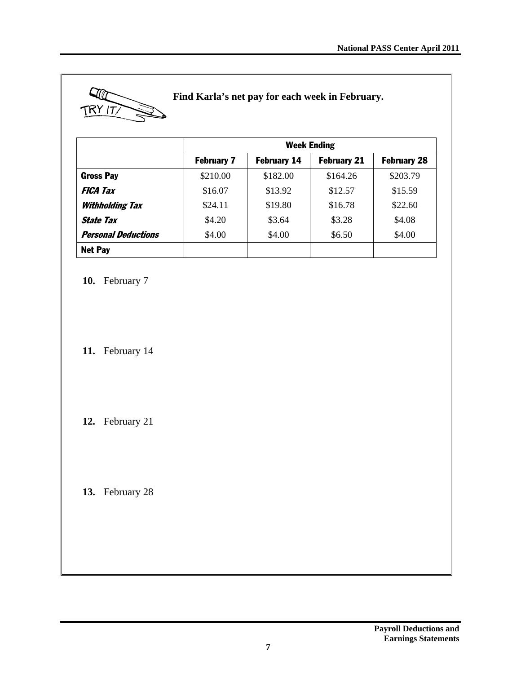

## **Find Karla's net pay for each week in February.**

|                            |                   | <b>Week Ending</b>                                             |          |          |  |  |
|----------------------------|-------------------|----------------------------------------------------------------|----------|----------|--|--|
|                            | <b>February 7</b> | <b>February 28</b><br><b>February 14</b><br><b>February 21</b> |          |          |  |  |
| <b>Gross Pay</b>           | \$210.00          | \$182.00                                                       | \$164.26 | \$203.79 |  |  |
| <b>FICA Tax</b>            | \$16.07           | \$13.92                                                        | \$12.57  | \$15.59  |  |  |
| <b>Withholding Tax</b>     | \$24.11           | \$19.80                                                        | \$16.78  | \$22.60  |  |  |
| <b>State Tax</b>           | \$4.20            | \$3.64                                                         | \$3.28   | \$4.08   |  |  |
| <b>Personal Deductions</b> | \$4.00            | \$4.00                                                         | \$6.50   | \$4.00   |  |  |
| <b>Net Pay</b>             |                   |                                                                |          |          |  |  |

**10.** February 7

**11.** February 14

**12.** February 21

**13.** February 28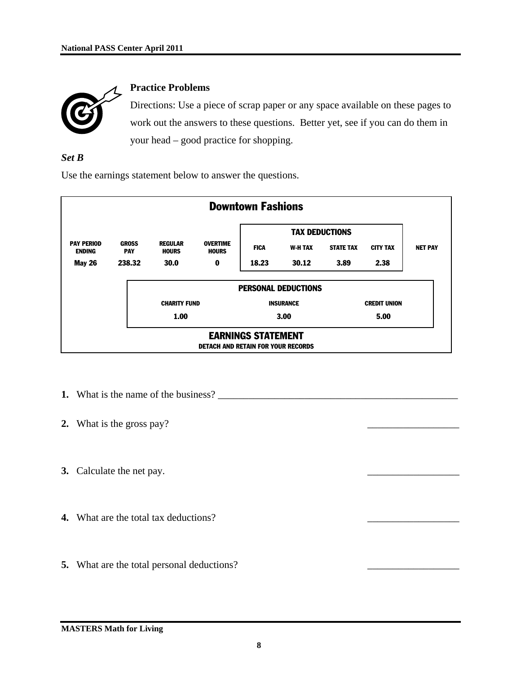

#### **Practice Problems**

Directions: Use a piece of scrap paper or any space available on these pages to work out the answers to these questions. Better yet, see if you can do them in your head – good practice for shopping.

#### *Set B*

Use the earnings statement below to answer the questions.



- **1.** What is the name of the business?
- **2.** What is the gross pay?
- **3.** Calculate the net pay.
- **4.** What are the total tax deductions?
- **5.** What are the total personal deductions?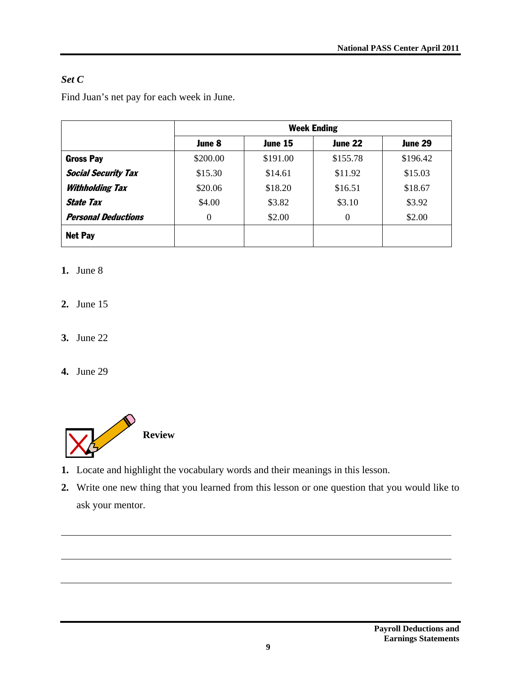# *Set C*

Find Juan's net pay for each week in June.

|                            | <b>Week Ending</b> |          |          |          |  |
|----------------------------|--------------------|----------|----------|----------|--|
|                            | June 8             | June 15  | June 22  | June 29  |  |
| <b>Gross Pay</b>           | \$200.00           | \$191.00 | \$155.78 | \$196.42 |  |
| <b>Social Security Tax</b> | \$15.30            | \$14.61  | \$11.92  | \$15.03  |  |
| <b>Withholding Tax</b>     | \$20.06            | \$18.20  | \$16.51  | \$18.67  |  |
| <b>State Tax</b>           | \$4.00             | \$3.82   | \$3.10   | \$3.92   |  |
| <b>Personal Deductions</b> | $\theta$           | \$2.00   | $\Omega$ | \$2.00   |  |
| <b>Net Pay</b>             |                    |          |          |          |  |

# **1.** June 8

- **2.** June 15
- **3.** June 22
- **4.** June 29



- **1.** Locate and highlight the vocabulary words and their meanings in this lesson.
- **2.** Write one new thing that you learned from this lesson or one question that you would like to ask your mentor.